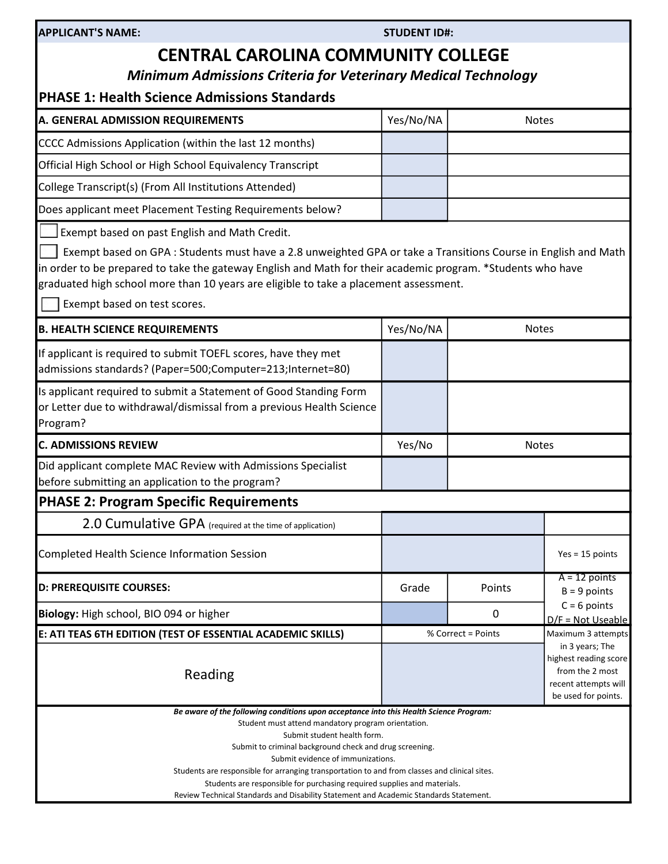# CENTRAL CAROLINA COMMUNITY COLLEGE

Minimum Admissions Criteria for Veterinary Medical Technology

## PHASE 1: Health Science Admissions Standards

| A. GENERAL ADMISSION REQUIREMENTS                          | Yes/No/NA | <b>Notes</b> |
|------------------------------------------------------------|-----------|--------------|
| CCCC Admissions Application (within the last 12 months)    |           |              |
| Official High School or High School Equivalency Transcript |           |              |
| College Transcript(s) (From All Institutions Attended)     |           |              |
| Does applicant meet Placement Testing Requirements below?  |           |              |

Exempt based on past English and Math Credit.

 Exempt based on GPA : Students must have a 2.8 unweighted GPA or take a Transitions Course in English and Math in order to be prepared to take the gateway English and Math for their academic program. \*Students who have graduated high school more than 10 years are eligible to take a placement assessment.

Exempt based on test scores.

| <b>B. HEALTH SCIENCE REQUIREMENTS</b>                                                                                                                                                                                                                                                                                                                                                                                                                                                                                                             | Yes/No/NA | Notes                                                                                                      |                                       |
|---------------------------------------------------------------------------------------------------------------------------------------------------------------------------------------------------------------------------------------------------------------------------------------------------------------------------------------------------------------------------------------------------------------------------------------------------------------------------------------------------------------------------------------------------|-----------|------------------------------------------------------------------------------------------------------------|---------------------------------------|
| If applicant is required to submit TOEFL scores, have they met<br>admissions standards? (Paper=500;Computer=213;Internet=80)                                                                                                                                                                                                                                                                                                                                                                                                                      |           |                                                                                                            |                                       |
| Is applicant required to submit a Statement of Good Standing Form<br>or Letter due to withdrawal/dismissal from a previous Health Science<br>Program?                                                                                                                                                                                                                                                                                                                                                                                             |           |                                                                                                            |                                       |
| <b>C. ADMISSIONS REVIEW</b>                                                                                                                                                                                                                                                                                                                                                                                                                                                                                                                       | Yes/No    | <b>Notes</b>                                                                                               |                                       |
| Did applicant complete MAC Review with Admissions Specialist<br>before submitting an application to the program?                                                                                                                                                                                                                                                                                                                                                                                                                                  |           |                                                                                                            |                                       |
| <b>PHASE 2: Program Specific Requirements</b>                                                                                                                                                                                                                                                                                                                                                                                                                                                                                                     |           |                                                                                                            |                                       |
| 2.0 Cumulative GPA (required at the time of application)                                                                                                                                                                                                                                                                                                                                                                                                                                                                                          |           |                                                                                                            |                                       |
| Completed Health Science Information Session                                                                                                                                                                                                                                                                                                                                                                                                                                                                                                      |           |                                                                                                            | $Yes = 15 points$                     |
| <b>D: PREREQUISITE COURSES:</b>                                                                                                                                                                                                                                                                                                                                                                                                                                                                                                                   | Grade     | Points                                                                                                     | $A = 12$ points<br>$B = 9$ points     |
| Biology: High school, BIO 094 or higher                                                                                                                                                                                                                                                                                                                                                                                                                                                                                                           |           | $\Omega$                                                                                                   | $C = 6$ points<br>$D/F = Not Useable$ |
| E: ATI TEAS 6TH EDITION (TEST OF ESSENTIAL ACADEMIC SKILLS)                                                                                                                                                                                                                                                                                                                                                                                                                                                                                       |           | % Correct = Points                                                                                         | Maximum 3 attempts                    |
| Reading                                                                                                                                                                                                                                                                                                                                                                                                                                                                                                                                           |           | in 3 years; The<br>highest reading score<br>from the 2 most<br>recent attempts will<br>be used for points. |                                       |
| Be aware of the following conditions upon acceptance into this Health Science Program:<br>Student must attend mandatory program orientation.<br>Submit student health form.<br>Submit to criminal background check and drug screening.<br>Submit evidence of immunizations.<br>Students are responsible for arranging transportation to and from classes and clinical sites.<br>Students are responsible for purchasing required supplies and materials.<br>Review Technical Standards and Disability Statement and Academic Standards Statement. |           |                                                                                                            |                                       |